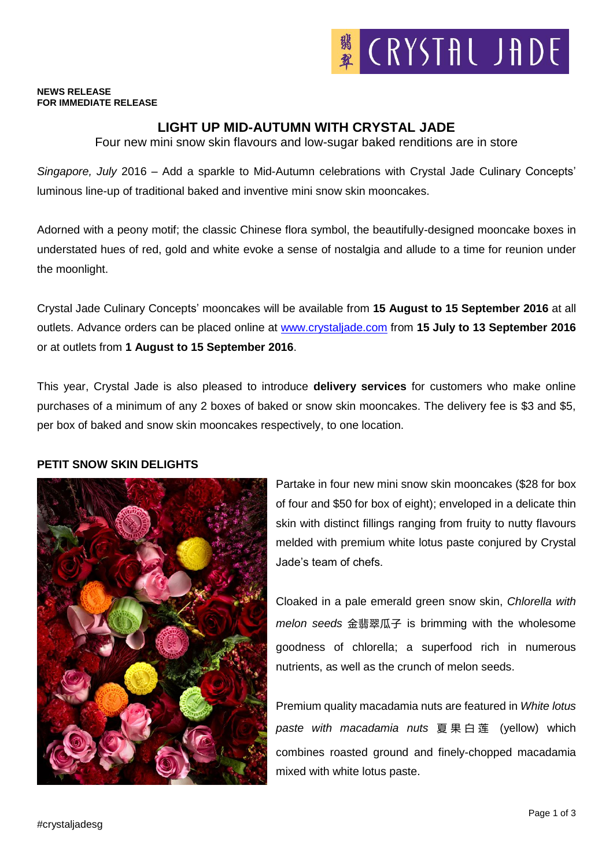#### **NEWS RELEASE FOR IMMEDIATE RELEASE**

# **LIGHT UP MID-AUTUMN WITH CRYSTAL JADE**

Four new mini snow skin flavours and low-sugar baked renditions are in store

*Singapore, July* 2016 – Add a sparkle to Mid-Autumn celebrations with Crystal Jade Culinary Concepts' luminous line-up of traditional baked and inventive mini snow skin mooncakes.

Adorned with a peony motif; the classic Chinese flora symbol, the beautifully-designed mooncake boxes in understated hues of red, gold and white evoke a sense of nostalgia and allude to a time for reunion under the moonlight.

Crystal Jade Culinary Concepts' mooncakes will be available from **15 August to 15 September 2016** at all outlets. Advance orders can be placed online at [www.crystaljade.com](http://www.crystaljade.com/) from **15 July to 13 September 2016** or at outlets from **1 August to 15 September 2016**.

This year, Crystal Jade is also pleased to introduce **delivery services** for customers who make online purchases of a minimum of any 2 boxes of baked or snow skin mooncakes. The delivery fee is \$3 and \$5, per box of baked and snow skin mooncakes respectively, to one location.

### **PETIT SNOW SKIN DELIGHTS**



Partake in four new mini snow skin mooncakes (\$28 for box of four and \$50 for box of eight); enveloped in a delicate thin skin with distinct fillings ranging from fruity to nutty flavours melded with premium white lotus paste conjured by Crystal Jade's team of chefs.

Cloaked in a pale emerald green snow skin, *Chlorella with melon seeds* 金翡翠瓜子 is brimming with the wholesome goodness of chlorella; a superfood rich in numerous nutrients, as well as the crunch of melon seeds.

Premium quality macadamia nuts are featured in *White lotus paste with macadamia nuts* 夏果白莲 (yellow) which combines roasted ground and finely-chopped macadamia mixed with white lotus paste.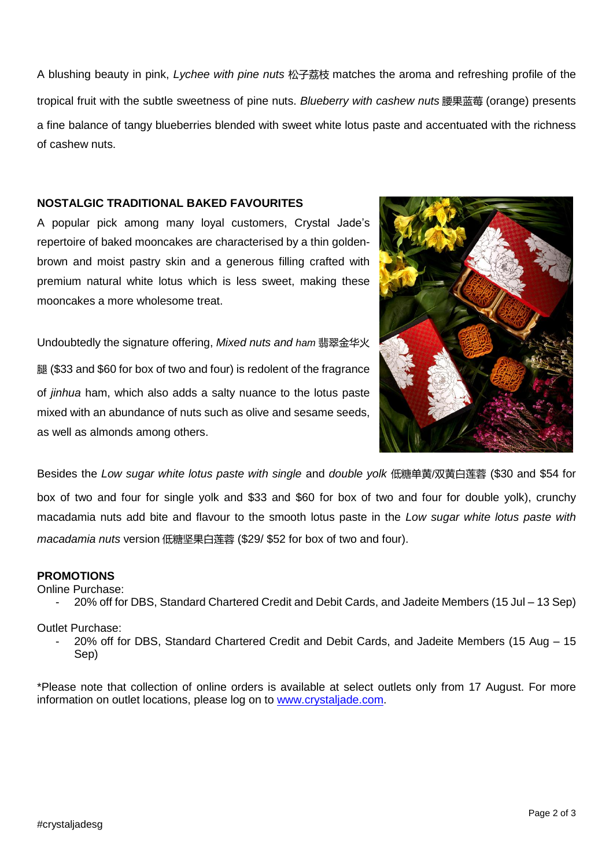A blushing beauty in pink, *Lychee with pine nuts* 松子荔枝 matches the aroma and refreshing profile of the tropical fruit with the subtle sweetness of pine nuts. *Blueberry with cashew nuts* 腰果蓝莓 (orange) presents a fine balance of tangy blueberries blended with sweet white lotus paste and accentuated with the richness of cashew nuts.

## **NOSTALGIC TRADITIONAL BAKED FAVOURITES**

A popular pick among many loyal customers, Crystal Jade's repertoire of baked mooncakes are characterised by a thin goldenbrown and moist pastry skin and a generous filling crafted with premium natural white lotus which is less sweet, making these mooncakes a more wholesome treat.

Undoubtedly the signature offering, *Mixed nuts and ham* 翡翠金华火 腿 (\$33 and \$60 for box of two and four) is redolent of the fragrance of *jinhua* ham, which also adds a salty nuance to the lotus paste mixed with an abundance of nuts such as olive and sesame seeds, as well as almonds among others.



Besides the *Low sugar white lotus paste with single* and *double yolk* 低糖单黄/双黄白莲蓉 (\$30 and \$54 for box of two and four for single yolk and \$33 and \$60 for box of two and four for double yolk), crunchy macadamia nuts add bite and flavour to the smooth lotus paste in the *Low sugar white lotus paste with macadamia nuts* version 低糖坚果白莲蓉 (\$29/ \$52 for box of two and four).

### **PROMOTIONS**

Online Purchase:

- 20% off for DBS, Standard Chartered Credit and Debit Cards, and Jadeite Members (15 Jul – 13 Sep)

## Outlet Purchase:

- 20% off for DBS, Standard Chartered Credit and Debit Cards, and Jadeite Members (15 Aug – 15 Sep)

\*Please note that collection of online orders is available at select outlets only from 17 August. For more information on outlet locations, please log on to [www.crystaljade.com.](http://www.crystaljade.com/)